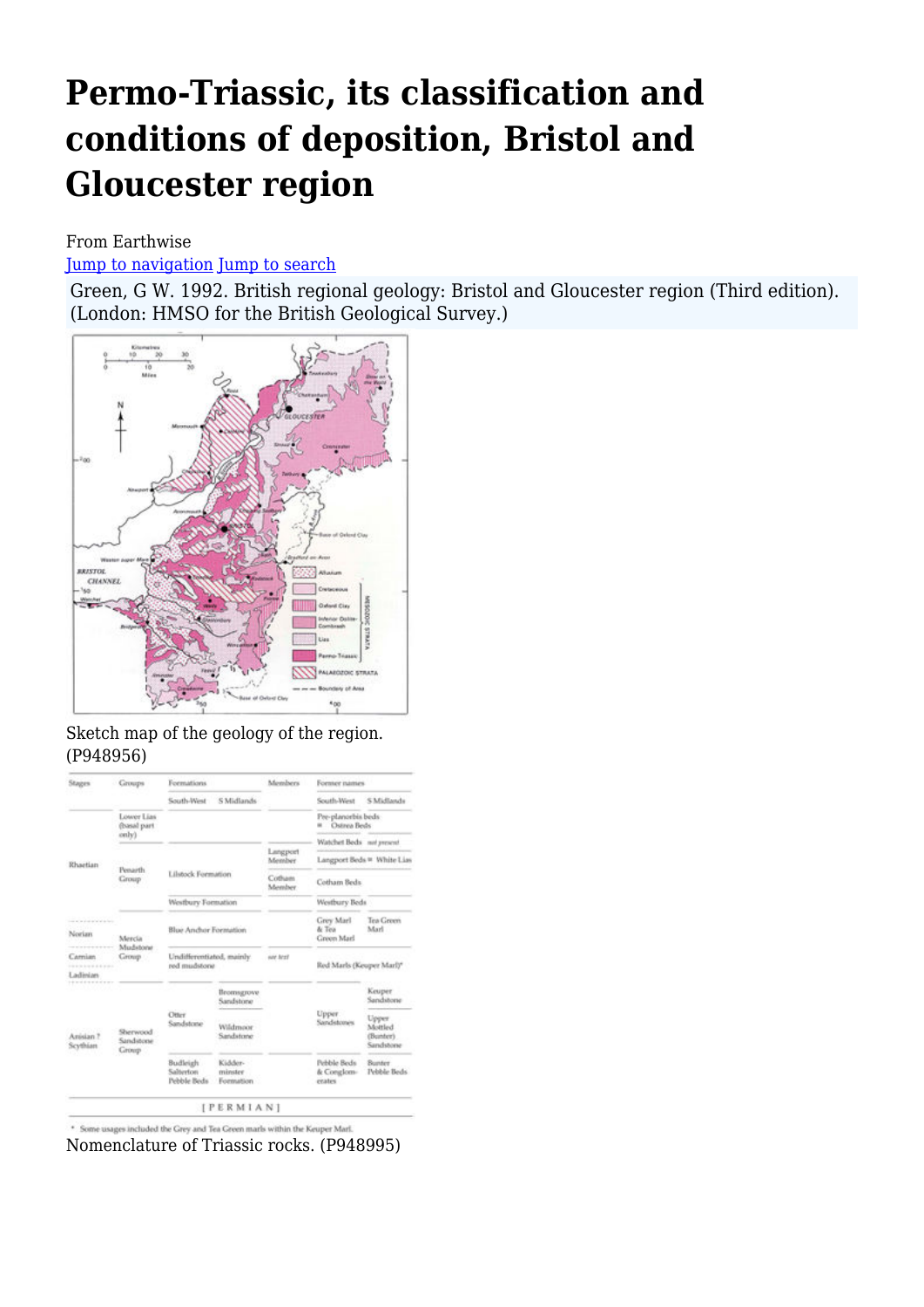# **Permo-Triassic, its classification and conditions of deposition, Bristol and Gloucester region**

#### From Earthwise

[Jump to navigation](#page--1-0) [Jump to search](#page--1-0)

Green, G W. 1992. British regional geology: Bristol and Gloucester region (Third edition). (London: HMSO for the British Geological Survey.)



Sketch map of the geology of the region. (P948956)

| Stages                                                            | <b>Circups</b>                     | Formations                               |                                 | Members            | Fornter names                                              |                                           |
|-------------------------------------------------------------------|------------------------------------|------------------------------------------|---------------------------------|--------------------|------------------------------------------------------------|-------------------------------------------|
|                                                                   |                                    | South-West                               | S Midlands                      |                    | South-West                                                 | S Midlands                                |
|                                                                   | Lower Lias<br>(basal part<br>only) |                                          |                                 |                    | Pre-planorbis beds<br>Ostrea Beds<br>$\equiv$              |                                           |
|                                                                   |                                    |                                          |                                 |                    | Watchet Beds and present                                   |                                           |
| Rhaetian                                                          | Penarth.<br>Group                  | Lilstock Formation                       |                                 | Langport<br>Member | Langport Beds = White Liss<br>Cotham Beds<br>Westbury Beds |                                           |
|                                                                   |                                    |                                          |                                 | Cotham<br>Member   |                                                            |                                           |
|                                                                   |                                    | Westbury Formation                       |                                 |                    |                                                            |                                           |
| and and an inch.<br>Norian                                        | Mercia<br>Mudstone                 | <b>Blue Anchor Formation</b>             |                                 |                    | Grey Marl<br>& Tea<br><b>Green Marl</b>                    | Tea Green<br>Marl                         |
| Carrian<br>the parties do you are all what provides a<br>Ladinian | Group                              | Undifferentiated, mainly<br>red mudstone |                                 | and lest           | Red Marls (Keuper Marl)*                                   |                                           |
| Anisian 7<br>Scythian                                             | Sherwood<br>Sandatone<br>Group     | Otter<br>Sandstone                       | Bromsgrove<br>Sandstone         |                    | Upper.<br>Sandstones                                       | Keuper<br>Sandshorse                      |
|                                                                   |                                    |                                          | Wildmoor<br>Sandstone           |                    |                                                            | Upper<br>Mottled<br>(Bunter)<br>Sandstone |
|                                                                   |                                    | Budleigh<br>Salterfore<br>Pebble Beds    | Kidder-<br>minster<br>Formation |                    | Pebble Beds<br>& Conglom-<br>enates                        | <b>Bunter</b><br>Pebble Beds              |
|                                                                   |                                    |                                          | [PERMIAN]                       |                    |                                                            |                                           |

Nomenclature of Triassic rocks. (P948995)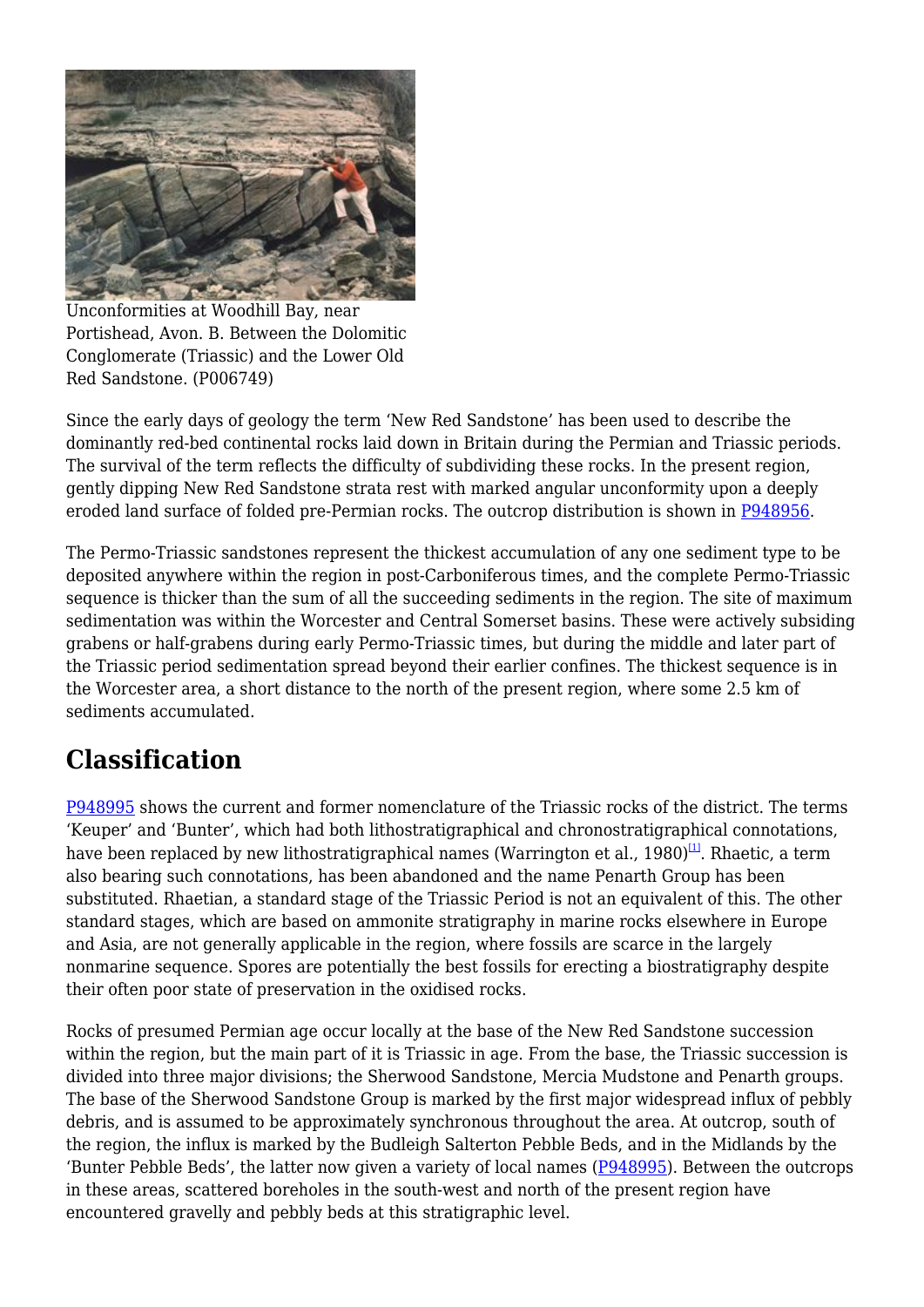

Unconformities at Woodhill Bay, near Portishead, Avon. B. Between the Dolomitic Conglomerate (Triassic) and the Lower Old Red Sandstone. (P006749)

Since the early days of geology the term 'New Red Sandstone' has been used to describe the dominantly red-bed continental rocks laid down in Britain during the Permian and Triassic periods. The survival of the term reflects the difficulty of subdividing these rocks. In the present region, gently dipping New Red Sandstone strata rest with marked angular unconformity upon a deeply eroded land surface of folded pre-Permian rocks. The outcrop distribution is shown in [P948956.](http://earthwise.bgs.ac.uk/images/0/0e/P948956.jpg)

The Permo-Triassic sandstones represent the thickest accumulation of any one sediment type to be deposited anywhere within the region in post-Carboniferous times, and the complete Permo-Triassic sequence is thicker than the sum of all the succeeding sediments in the region. The site of maximum sedimentation was within the Worcester and Central Somerset basins. These were actively subsiding grabens or half-grabens during early Permo-Triassic times, but during the middle and later part of the Triassic period sedimentation spread beyond their earlier confines. The thickest sequence is in the Worcester area, a short distance to the north of the present region, where some 2.5 km of sediments accumulated.

# **Classification**

[P948995](http://earthwise.bgs.ac.uk/images/d/df/P948995.jpg) shows the current and former nomenclature of the Triassic rocks of the district. The terms 'Keuper' and 'Bunter', which had both lithostratigraphical and chronostratigraphical connotations, have been replaced by new lithostratigraphical names (Warrington et al.,  $1980$ <sup>[\[1\]](#page--1-0)</sup>. Rhaetic, a term also bearing such connotations, has been abandoned and the name Penarth Group has been substituted. Rhaetian, a standard stage of the Triassic Period is not an equivalent of this. The other standard stages, which are based on ammonite stratigraphy in marine rocks elsewhere in Europe and Asia, are not generally applicable in the region, where fossils are scarce in the largely nonmarine sequence. Spores are potentially the best fossils for erecting a biostratigraphy despite their often poor state of preservation in the oxidised rocks.

Rocks of presumed Permian age occur locally at the base of the New Red Sandstone succession within the region, but the main part of it is Triassic in age. From the base, the Triassic succession is divided into three major divisions; the Sherwood Sandstone, Mercia Mudstone and Penarth groups. The base of the Sherwood Sandstone Group is marked by the first major widespread influx of pebbly debris, and is assumed to be approximately synchronous throughout the area. At outcrop, south of the region, the influx is marked by the Budleigh Salterton Pebble Beds, and in the Midlands by the 'Bunter Pebble Beds', the latter now given a variety of local names [\(P948995\)](http://earthwise.bgs.ac.uk/images/d/df/P948995.jpg). Between the outcrops in these areas, scattered boreholes in the south-west and north of the present region have encountered gravelly and pebbly beds at this stratigraphic level.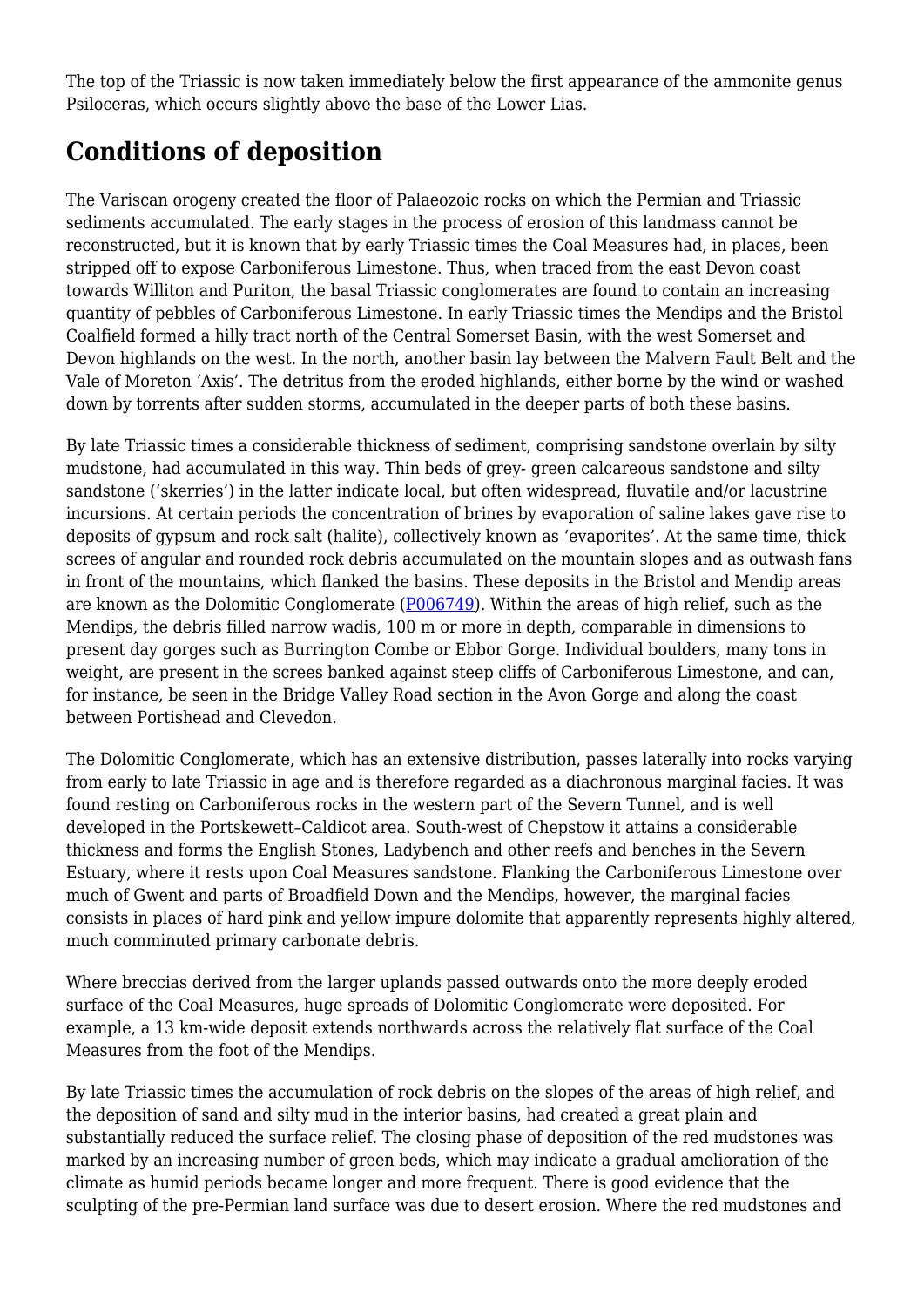The top of the Triassic is now taken immediately below the first appearance of the ammonite genus Psiloceras, which occurs slightly above the base of the Lower Lias.

# **Conditions of deposition**

The Variscan orogeny created the floor of Palaeozoic rocks on which the Permian and Triassic sediments accumulated. The early stages in the process of erosion of this landmass cannot be reconstructed, but it is known that by early Triassic times the Coal Measures had, in places, been stripped off to expose Carboniferous Limestone. Thus, when traced from the east Devon coast towards Williton and Puriton, the basal Triassic conglomerates are found to contain an increasing quantity of pebbles of Carboniferous Limestone. In early Triassic times the Mendips and the Bristol Coalfield formed a hilly tract north of the Central Somerset Basin, with the west Somerset and Devon highlands on the west. In the north, another basin lay between the Malvern Fault Belt and the Vale of Moreton 'Axis'. The detritus from the eroded highlands, either borne by the wind or washed down by torrents after sudden storms, accumulated in the deeper parts of both these basins.

By late Triassic times a considerable thickness of sediment, comprising sandstone overlain by silty mudstone, had accumulated in this way. Thin beds of grey- green calcareous sandstone and silty sandstone ('skerries') in the latter indicate local, but often widespread, fluvatile and/or lacustrine incursions. At certain periods the concentration of brines by evaporation of saline lakes gave rise to deposits of gypsum and rock salt (halite), collectively known as 'evaporites'. At the same time, thick screes of angular and rounded rock debris accumulated on the mountain slopes and as outwash fans in front of the mountains, which flanked the basins. These deposits in the Bristol and Mendip areas are known as the Dolomitic Conglomerate [\(P006749\)](http://earthwise.bgs.ac.uk/images/3/34/P006749.jpg). Within the areas of high relief, such as the Mendips, the debris filled narrow wadis, 100 m or more in depth, comparable in dimensions to present day gorges such as Burrington Combe or Ebbor Gorge. Individual boulders, many tons in weight, are present in the screes banked against steep cliffs of Carboniferous Limestone, and can, for instance, be seen in the Bridge Valley Road section in the Avon Gorge and along the coast between Portishead and Clevedon.

The Dolomitic Conglomerate, which has an extensive distribution, passes laterally into rocks varying from early to late Triassic in age and is therefore regarded as a diachronous marginal facies. It was found resting on Carboniferous rocks in the western part of the Severn Tunnel, and is well developed in the Portskewett–Caldicot area. South-west of Chepstow it attains a considerable thickness and forms the English Stones, Ladybench and other reefs and benches in the Severn Estuary, where it rests upon Coal Measures sandstone. Flanking the Carboniferous Limestone over much of Gwent and parts of Broadfield Down and the Mendips, however, the marginal facies consists in places of hard pink and yellow impure dolomite that apparently represents highly altered, much comminuted primary carbonate debris.

Where breccias derived from the larger uplands passed outwards onto the more deeply eroded surface of the Coal Measures, huge spreads of Dolomitic Conglomerate were deposited. For example, a 13 km-wide deposit extends northwards across the relatively flat surface of the Coal Measures from the foot of the Mendips.

By late Triassic times the accumulation of rock debris on the slopes of the areas of high relief, and the deposition of sand and silty mud in the interior basins, had created a great plain and substantially reduced the surface relief. The closing phase of deposition of the red mudstones was marked by an increasing number of green beds, which may indicate a gradual amelioration of the climate as humid periods became longer and more frequent. There is good evidence that the sculpting of the pre-Permian land surface was due to desert erosion. Where the red mudstones and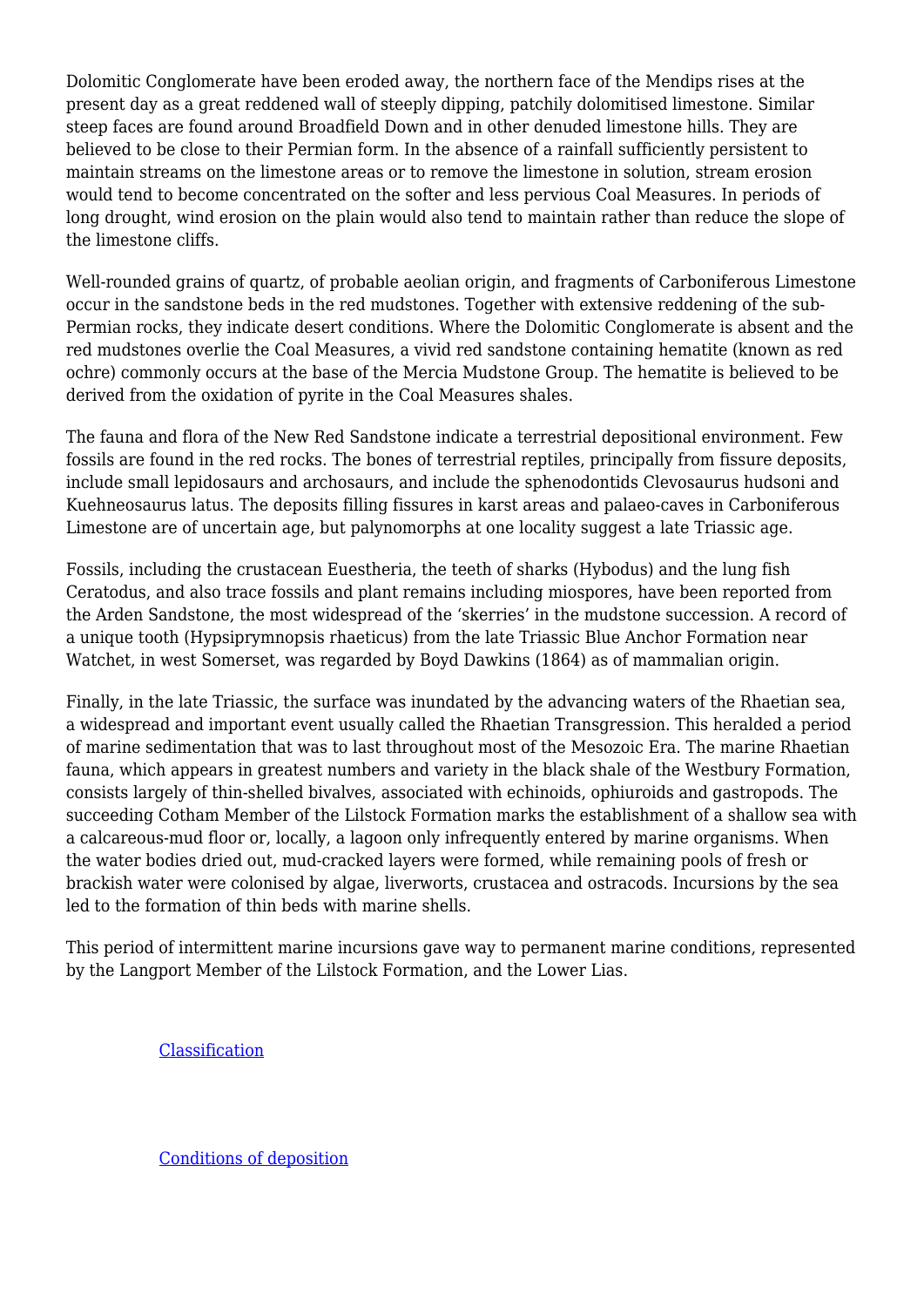Dolomitic Conglomerate have been eroded away, the northern face of the Mendips rises at the present day as a great reddened wall of steeply dipping, patchily dolomitised limestone. Similar steep faces are found around Broadfield Down and in other denuded limestone hills. They are believed to be close to their Permian form. In the absence of a rainfall sufficiently persistent to maintain streams on the limestone areas or to remove the limestone in solution, stream erosion would tend to become concentrated on the softer and less pervious Coal Measures. In periods of long drought, wind erosion on the plain would also tend to maintain rather than reduce the slope of the limestone cliffs.

Well-rounded grains of quartz, of probable aeolian origin, and fragments of Carboniferous Limestone occur in the sandstone beds in the red mudstones. Together with extensive reddening of the sub-Permian rocks, they indicate desert conditions. Where the Dolomitic Conglomerate is absent and the red mudstones overlie the Coal Measures, a vivid red sandstone containing hematite (known as red ochre) commonly occurs at the base of the Mercia Mudstone Group. The hematite is believed to be derived from the oxidation of pyrite in the Coal Measures shales.

The fauna and flora of the New Red Sandstone indicate a terrestrial depositional environment. Few fossils are found in the red rocks. The bones of terrestrial reptiles, principally from fissure deposits, include small lepidosaurs and archosaurs, and include the sphenodontids Clevosaurus hudsoni and Kuehneosaurus latus. The deposits filling fissures in karst areas and palaeo-caves in Carboniferous Limestone are of uncertain age, but palynomorphs at one locality suggest a late Triassic age.

Fossils, including the crustacean Euestheria, the teeth of sharks (Hybodus) and the lung fish Ceratodus, and also trace fossils and plant remains including miospores, have been reported from the Arden Sandstone, the most widespread of the 'skerries' in the mudstone succession. A record of a unique tooth (Hypsiprymnopsis rhaeticus) from the late Triassic Blue Anchor Formation near Watchet, in west Somerset, was regarded by Boyd Dawkins (1864) as of mammalian origin.

Finally, in the late Triassic, the surface was inundated by the advancing waters of the Rhaetian sea, a widespread and important event usually called the Rhaetian Transgression. This heralded a period of marine sedimentation that was to last throughout most of the Mesozoic Era. The marine Rhaetian fauna, which appears in greatest numbers and variety in the black shale of the Westbury Formation, consists largely of thin-shelled bivalves, associated with echinoids, ophiuroids and gastropods. The succeeding Cotham Member of the Lilstock Formation marks the establishment of a shallow sea with a calcareous-mud floor or, locally, a lagoon only infrequently entered by marine organisms. When the water bodies dried out, mud-cracked layers were formed, while remaining pools of fresh or brackish water were colonised by algae, liverworts, crustacea and ostracods. Incursions by the sea led to the formation of thin beds with marine shells.

This period of intermittent marine incursions gave way to permanent marine conditions, represented by the Langport Member of the Lilstock Formation, and the Lower Lias.

[Classification](http://earthwise.bgs.ac.uk/index.php/Permo-Triassic,_its_classification_and_conditions_of_deposition,_Bristol_and_Gloucester_region#Classification)

[Conditions of deposition](http://earthwise.bgs.ac.uk/index.php/Permo-Triassic,_its_classification_and_conditions_of_deposition,_Bristol_and_Gloucester_region#Conditions_of_deposition)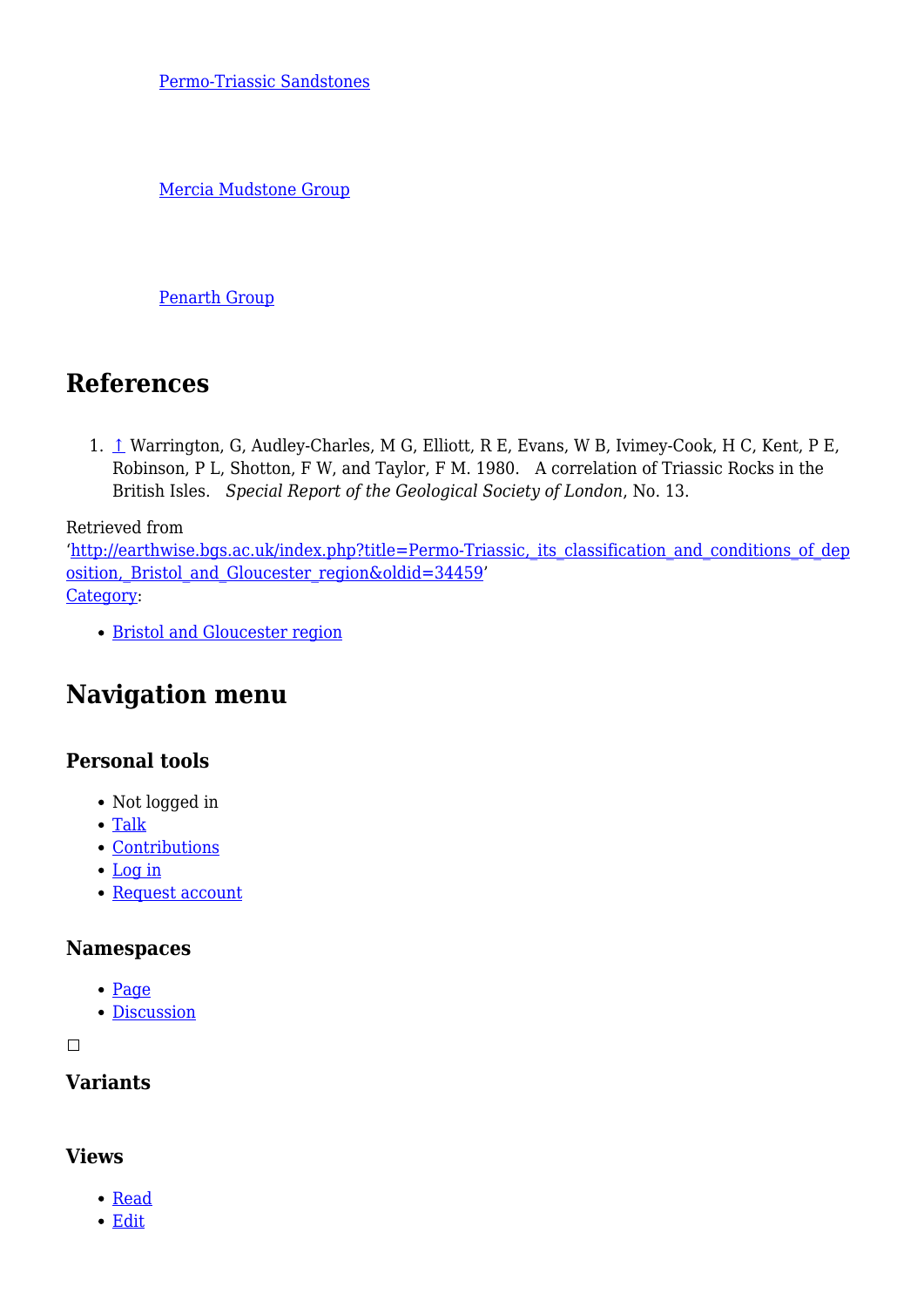[Permo-Triassic Sandstones](http://earthwise.bgs.ac.uk/index.php/Permo-Triassic_Sandstones,_Bristol_and_Gloucester_region)

[Mercia Mudstone Group](http://earthwise.bgs.ac.uk/index.php/Mercia_Mudstone_Group,_Permo-Triassic,_Bristol_and_Gloucester_region)

[Penarth Group](http://earthwise.bgs.ac.uk/index.php/Penarth_Group,_Permo-Triassic,_Bristol_and_Gloucester_region)

### **References**

1. [↑](#page--1-0) Warrington, G, Audley-Charles, M G, Elliott, R E, Evans, W B, Ivimey-Cook, H C, Kent, P E, Robinson, P L, Shotton, F W, and Taylor, F M. 1980. A correlation of Triassic Rocks in the British Isles. *Special Report of the Geological Society of London*, No. 13.

Retrieved from

'http://earthwise.bgs.ac.uk/index.php?title=Permo-Triassic, its classification and conditions of dep osition, Bristol and Gloucester region&oldid=34459' [Category](http://earthwise.bgs.ac.uk/index.php/Special:Categories):

• [Bristol and Gloucester region](http://earthwise.bgs.ac.uk/index.php/Category:Bristol_and_Gloucester_region)

## **Navigation menu**

#### **Personal tools**

- Not logged in
- [Talk](http://earthwise.bgs.ac.uk/index.php/Special:MyTalk)
- [Contributions](http://earthwise.bgs.ac.uk/index.php/Special:MyContributions)
- [Log in](http://earthwise.bgs.ac.uk/index.php?title=Special:UserLogin&returnto=Permo-Triassic%2C+its+classification+and+conditions+of+deposition%2C+Bristol+and+Gloucester+region&returntoquery=action%3Dmpdf)
- [Request account](http://earthwise.bgs.ac.uk/index.php/Special:RequestAccount)

#### **Namespaces**

- $\bullet$  [Page](http://earthwise.bgs.ac.uk/index.php/Permo-Triassic,_its_classification_and_conditions_of_deposition,_Bristol_and_Gloucester_region)
- [Discussion](http://earthwise.bgs.ac.uk/index.php?title=Talk:Permo-Triassic,_its_classification_and_conditions_of_deposition,_Bristol_and_Gloucester_region&action=edit&redlink=1)

 $\Box$ 

#### **Variants**

#### **Views**

- [Read](http://earthwise.bgs.ac.uk/index.php/Permo-Triassic,_its_classification_and_conditions_of_deposition,_Bristol_and_Gloucester_region)
- [Edit](http://earthwise.bgs.ac.uk/index.php?title=Permo-Triassic,_its_classification_and_conditions_of_deposition,_Bristol_and_Gloucester_region&action=edit)